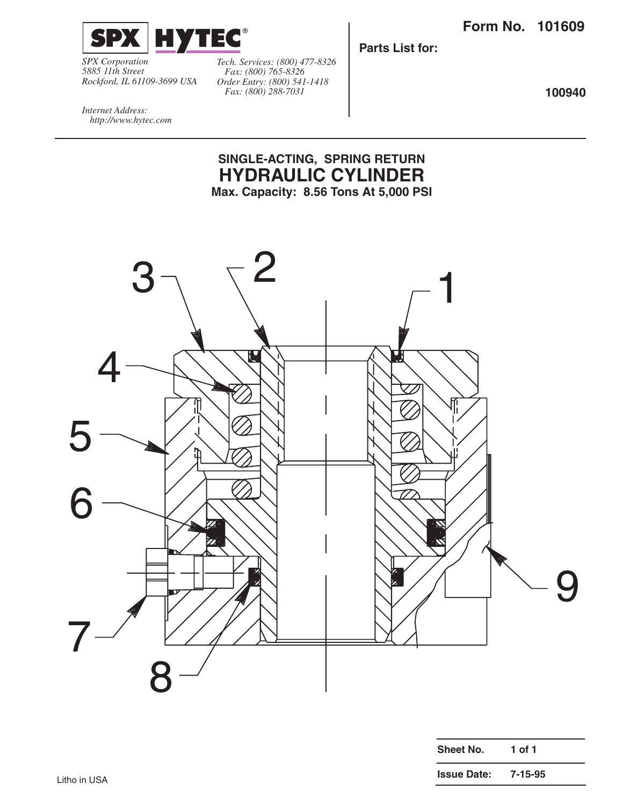

*SPX Corporation 5885 11th Street Rockford, IL 61109-3699 USA*

*Tech. Services: (800) 477-8326 Fax: (800) 765-8326 Order Entry: (800) 541-1418 Fax: (800) 288-7031*

**Parts List for:**

**100940**

*Internet Address: http://www.hytec.com*

## **SINGLE-ACTING, SPRING RETURN HYDRAULIC CYLINDER Max. Capacity: 8.56 Tons At 5,000 PSI**

 $3 \begin{array}{ccc} 3 \end{array}$   $\begin{array}{ccc} 2 & & & \end{array}$ 4 〖 <sup>1</sup> 5 6 9 7 8

| Sheet No.          | 1 of 1  |  |
|--------------------|---------|--|
| <b>Issue Date:</b> | 7-15-95 |  |